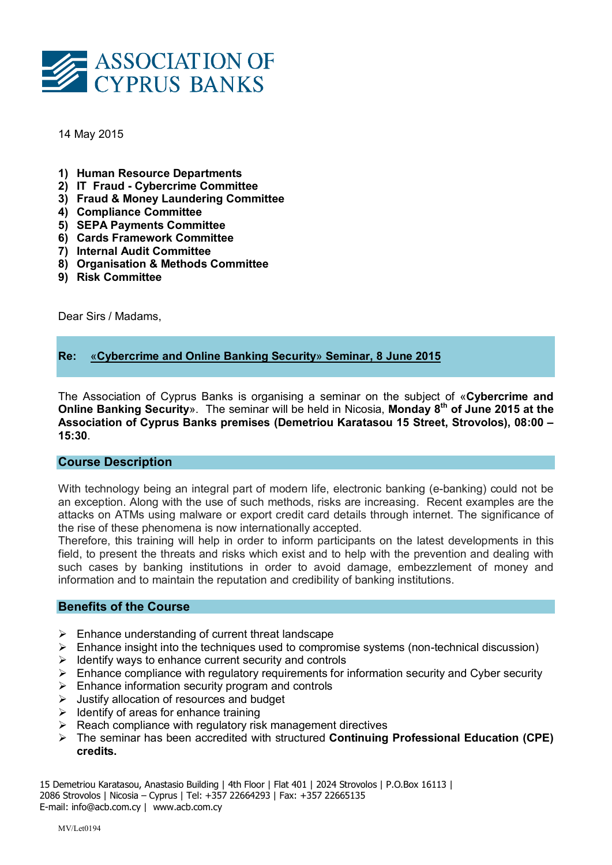

14 May 2015

- 1) Human Resource Departments
- 2) IT Fraud Cybercrime Committee
- 3) Fraud & Money Laundering Committee
- 4) Compliance Committee
- 5) SEPA Payments Committee
- 6) Cards Framework Committee
- 7) Internal Audit Committee
- 8) Organisation & Methods Committee
- 9) Risk Committee

Dear Sirs / Madams,

# Re: «Cybercrime and Online Banking Security» Seminar, 8 June 2015

The Association of Cyprus Banks is organising a seminar on the subject of «Cybercrime and Online Banking Security». The seminar will be held in Nicosia, Monday 8<sup>th</sup> of June 2015 at the Association of Cyprus Banks premises (Demetriou Karatasou 15 Street, Strovolos), 08:00 – 15:30.

## Course Description

With technology being an integral part of modern life, electronic banking (e-banking) could not be an exception. Along with the use of such methods, risks are increasing. Recent examples are the attacks on ATMs using malware or export credit card details through internet. The significance of the rise of these phenomena is now internationally accepted.

Therefore, this training will help in order to inform participants on the latest developments in this field, to present the threats and risks which exist and to help with the prevention and dealing with such cases by banking institutions in order to avoid damage, embezzlement of money and information and to maintain the reputation and credibility of banking institutions.

### Benefits of the Course

- $\triangleright$  Enhance understanding of current threat landscape
- $\triangleright$  Enhance insight into the techniques used to compromise systems (non-technical discussion)
- $\triangleright$  Identify ways to enhance current security and controls
- $\triangleright$  Enhance compliance with regulatory requirements for information security and Cyber security
- $\triangleright$  Enhance information security program and controls
- $\triangleright$  Justify allocation of resources and budget
- $\triangleright$  Identify of areas for enhance training
- $\triangleright$  Reach compliance with regulatory risk management directives
- $\triangleright$  The seminar has been accredited with structured Continuing Professional Education (CPE) credits.

15 Demetriou Karatasou, Anastasio Building | 4th Floor | Flat 401 | 2024 Strovolos | P.O.Box 16113 | 2086 Strovolos | Nicosia – Cyprus | Tel: +357 22664293 | Fax: +357 22665135 E-mail: info@acb.com.cy | www.acb.com.cy